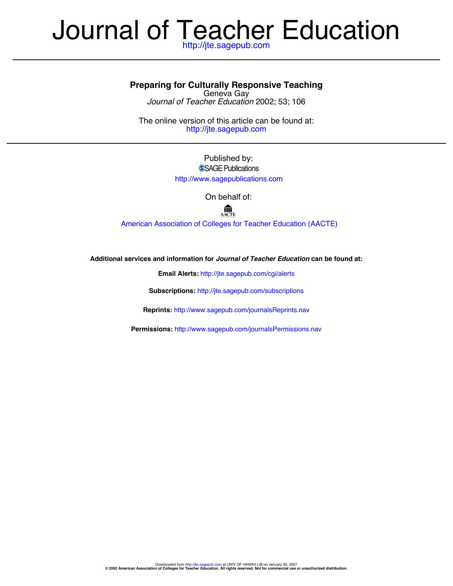# http://jte.sagepub.com Journal of Teacher Education

## **Preparing for Culturally Responsive Teaching**

*Journal of Teacher Education* 2002; 53; 106 Geneva Gay

http://jte.sagepub.com The online version of this article can be found at:

> Published by: SSAGE Publications

http://www.sagepublications.com

On behalf of:

AACTE

[American Association of Colleges for Teacher Education \(AACTE\)](http://www.aacte.org)

**Additional services and information for** *Journal of Teacher Education* **can be found at:**

**Email Alerts:** <http://jte.sagepub.com/cgi/alerts>

**Subscriptions:** <http://jte.sagepub.com/subscriptions>

**Reprints:** <http://www.sagepub.com/journalsReprints.nav>

**Permissions:** <http://www.sagepub.com/journalsPermissions.nav>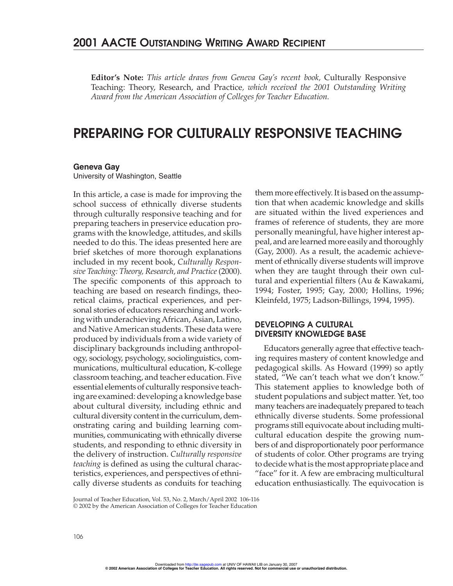**Editor's Note:** *This article draws from Geneva Gay's recent book,* Culturally Responsive Teaching: Theory, Research, and Practice*, which received the 2001 Outstanding Writing Award from the American Association of Colleges for Teacher Education.*

# PREPARING FOR CULTURALLY RESPONSIVE TEACHING

#### **Geneva Gay**

University of Washington, Seattle

In this article, a case is made for improving the school success of ethnically diverse students through culturally responsive teaching and for preparing teachers in preservice education programs with the knowledge, attitudes, and skills needed to do this. The ideas presented here are brief sketches of more thorough explanations included in my recent book, *Culturally Responsive Teaching: Theory, Research, and Practice* (2000). The specific components of this approach to teaching are based on research findings, theoretical claims, practical experiences, and personal stories of educators researching and working with underachieving African, Asian, Latino, and Native American students. These data were produced by individuals from a wide variety of disciplinary backgrounds including anthropology, sociology, psychology, sociolinguistics, communications, multicultural education, K-college classroom teaching, and teacher education. Five essential elements of culturally responsive teaching are examined: developing a knowledge base about cultural diversity, including ethnic and cultural diversity content in the curriculum, demonstrating caring and building learning communities, communicating with ethnically diverse students, and responding to ethnic diversity in the delivery of instruction. *Culturally responsive teaching* is defined as using the cultural characteristics, experiences, and perspectives of ethnically diverse students as conduits for teaching

them more effectively. It is based on the assumption that when academic knowledge and skills are situated within the lived experiences and frames of reference of students, they are more personally meaningful, have higher interest appeal, and are learned more easily and thoroughly (Gay, 2000). As a result, the academic achievement of ethnically diverse students will improve when they are taught through their own cultural and experiential filters (Au & Kawakami, 1994; Foster, 1995; Gay, 2000; Hollins, 1996; Kleinfeld, 1975; Ladson-Billings, 1994, 1995).

#### DEVELOPING A CULTURAL DIVERSITY KNOWLEDGE BASE

Educators generally agree that effective teaching requires mastery of content knowledge and pedagogical skills. As Howard (1999) so aptly stated, "We can't teach what we don't know." This statement applies to knowledge both of student populations and subject matter. Yet, too many teachers are inadequately prepared to teach ethnically diverse students. Some professional programs still equivocate about including multicultural education despite the growing numbers of and disproportionately poor performance of students of color. Other programs are trying to decide what is the most appropriate place and "face" for it. A few are embracing multicultural education enthusiastically. The equivocation is

Journal of Teacher Education, Vol. 53, No. 2, March/April 2002 106-116 © 2002 by the American Association of Colleges for Teacher Education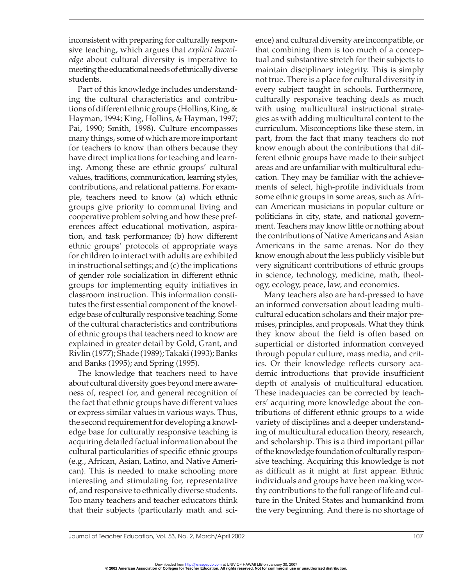inconsistent with preparing for culturally responsive teaching, which argues that *explicit knowledge* about cultural diversity is imperative to meeting the educational needs of ethnically diverse students.

Part of this knowledge includes understanding the cultural characteristics and contributions of different ethnic groups (Hollins, King, & Hayman, 1994; King, Hollins, & Hayman, 1997; Pai, 1990; Smith, 1998). Culture encompasses many things, some of which are more important for teachers to know than others because they have direct implications for teaching and learning. Among these are ethnic groups' cultural values, traditions, communication, learning styles, contributions, and relational patterns. For example, teachers need to know (a) which ethnic groups give priority to communal living and cooperative problem solving and how these preferences affect educational motivation, aspiration, and task performance; (b) how different ethnic groups' protocols of appropriate ways for children to interact with adults are exhibited in instructional settings; and (c) the implications of gender role socialization in different ethnic groups for implementing equity initiatives in classroom instruction. This information constitutes the first essential component of the knowledge base of culturally responsive teaching. Some of the cultural characteristics and contributions of ethnic groups that teachers need to know are explained in greater detail by Gold, Grant, and Rivlin (1977); Shade (1989); Takaki (1993); Banks and Banks (1995); and Spring (1995).

The knowledge that teachers need to have about cultural diversity goes beyond mere awareness of, respect for, and general recognition of the fact that ethnic groups have different values or express similar values in various ways. Thus, the second requirement for developing a knowledge base for culturally responsive teaching is acquiring detailed factual information about the cultural particularities of specific ethnic groups (e.g., African, Asian, Latino, and Native American). This is needed to make schooling more interesting and stimulating for, representative of, and responsive to ethnically diverse students. Too many teachers and teacher educators think that their subjects (particularly math and science) and cultural diversity are incompatible, or that combining them is too much of a conceptual and substantive stretch for their subjects to maintain disciplinary integrity. This is simply not true. There is a place for cultural diversity in every subject taught in schools. Furthermore, culturally responsive teaching deals as much with using multicultural instructional strategies as with adding multicultural content to the curriculum. Misconceptions like these stem, in part, from the fact that many teachers do not know enough about the contributions that different ethnic groups have made to their subject areas and are unfamiliar with multicultural education. They may be familiar with the achievements of select, high-profile individuals from some ethnic groups in some areas, such as African American musicians in popular culture or politicians in city, state, and national government. Teachers may know little or nothing about the contributions of Native Americans and Asian Americans in the same arenas. Nor do they know enough about the less publicly visible but very significant contributions of ethnic groups in science, technology, medicine, math, theology, ecology, peace, law, and economics.

Many teachers also are hard-pressed to have an informed conversation about leading multicultural education scholars and their major premises, principles, and proposals. What they think they know about the field is often based on superficial or distorted information conveyed through popular culture, mass media, and critics. Or their knowledge reflects cursory academic introductions that provide insufficient depth of analysis of multicultural education. These inadequacies can be corrected by teachers' acquiring more knowledge about the contributions of different ethnic groups to a wide variety of disciplines and a deeper understanding of multicultural education theory, research, and scholarship. This is a third important pillar of the knowledge foundation of culturally responsive teaching. Acquiring this knowledge is not as difficult as it might at first appear. Ethnic individuals and groups have been making worthy contributions to the full range of life and culture in the United States and humankind from the very beginning. And there is no shortage of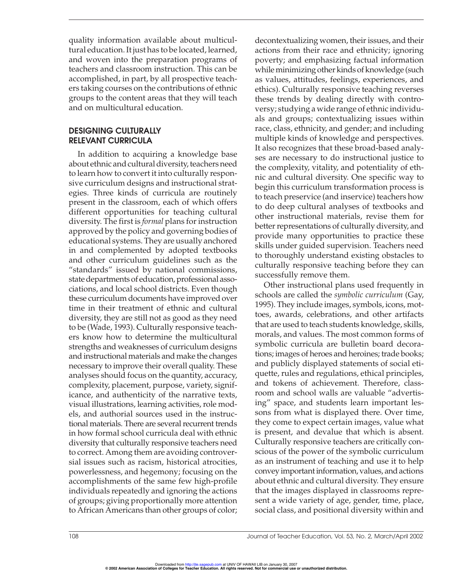quality information available about multicultural education. It just has to be located, learned, and woven into the preparation programs of teachers and classroom instruction. This can be accomplished, in part, by all prospective teachers taking courses on the contributions of ethnic groups to the content areas that they will teach and on multicultural education.

### DESIGNING CULTURALLY RELEVANT CURRICULA

In addition to acquiring a knowledge base about ethnic and cultural diversity, teachers need to learn how to convert it into culturally responsive curriculum designs and instructional strategies. Three kinds of curricula are routinely present in the classroom, each of which offers different opportunities for teaching cultural diversity. The first is *formal* plans for instruction approved by the policy and governing bodies of educational systems. They are usually anchored in and complemented by adopted textbooks and other curriculum guidelines such as the "standards" issued by national commissions, state departments of education, professional associations, and local school districts. Even though these curriculum documents have improved over time in their treatment of ethnic and cultural diversity, they are still not as good as they need to be (Wade, 1993). Culturally responsive teachers know how to determine the multicultural strengths and weaknesses of curriculum designs and instructional materials and make the changes necessary to improve their overall quality. These analyses should focus on the quantity, accuracy, complexity, placement, purpose, variety, significance, and authenticity of the narrative texts, visual illustrations, learning activities, role models, and authorial sources used in the instructional materials. There are several recurrent trends in how formal school curricula deal with ethnic diversity that culturally responsive teachers need to correct. Among them are avoiding controversial issues such as racism, historical atrocities, powerlessness, and hegemony; focusing on the accomplishments of the same few high-profile individuals repeatedly and ignoring the actions of groups; giving proportionally more attention to African Americans than other groups of color;

decontextualizing women, their issues, and their actions from their race and ethnicity; ignoring poverty; and emphasizing factual information while minimizing other kinds of knowledge (such as values, attitudes, feelings, experiences, and ethics). Culturally responsive teaching reverses these trends by dealing directly with controversy; studying a wide range of ethnic individuals and groups; contextualizing issues within race, class, ethnicity, and gender; and including multiple kinds of knowledge and perspectives. It also recognizes that these broad-based analyses are necessary to do instructional justice to the complexity, vitality, and potentiality of ethnic and cultural diversity. One specific way to begin this curriculum transformation process is to teach preservice (and inservice) teachers how to do deep cultural analyses of textbooks and other instructional materials, revise them for better representations of culturally diversity, and provide many opportunities to practice these skills under guided supervision. Teachers need to thoroughly understand existing obstacles to culturally responsive teaching before they can successfully remove them.

Other instructional plans used frequently in schools are called the *symbolic curriculum* (Gay, 1995). They include images, symbols, icons, mottoes, awards, celebrations, and other artifacts that are used to teach students knowledge, skills, morals, and values. The most common forms of symbolic curricula are bulletin board decorations; images of heroes and heroines; trade books; and publicly displayed statements of social etiquette, rules and regulations, ethical principles, and tokens of achievement. Therefore, classroom and school walls are valuable "advertising" space, and students learn important lessons from what is displayed there. Over time, they come to expect certain images, value what is present, and devalue that which is absent. Culturally responsive teachers are critically conscious of the power of the symbolic curriculum as an instrument of teaching and use it to help convey important information, values, and actions about ethnic and cultural diversity. They ensure that the images displayed in classrooms represent a wide variety of age, gender, time, place, social class, and positional diversity within and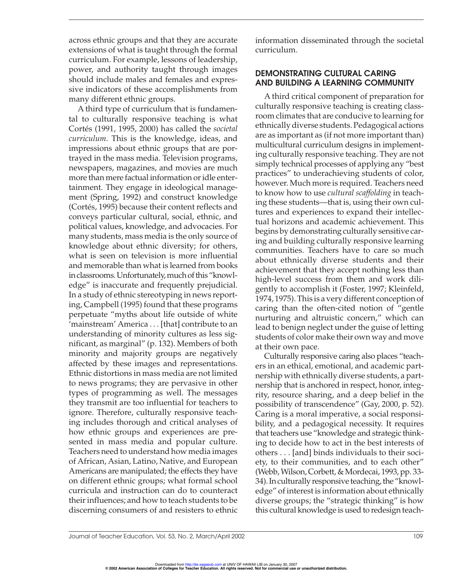across ethnic groups and that they are accurate extensions of what is taught through the formal curriculum. For example, lessons of leadership, power, and authority taught through images should include males and females and expressive indicators of these accomplishments from many different ethnic groups.

A third type of curriculum that is fundamental to culturally responsive teaching is what Cortés (1991, 1995, 2000) has called the *societal curriculum*. This is the knowledge, ideas, and impressions about ethnic groups that are portrayed in the mass media. Television programs, newspapers, magazines, and movies are much more than mere factual information or idle entertainment. They engage in ideological management (Spring, 1992) and construct knowledge (Cortés, 1995) because their content reflects and conveys particular cultural, social, ethnic, and political values, knowledge, and advocacies. For many students, mass media is the only source of knowledge about ethnic diversity; for others, what is seen on television is more influential and memorable than what is learned from books in classrooms. Unfortunately, much of this "knowledge" is inaccurate and frequently prejudicial. In a study of ethnic stereotyping in news reporting, Campbell (1995) found that these programs perpetuate "myths about life outside of white 'mainstream' America... [that] contribute to an understanding of minority cultures as less significant, as marginal" (p. 132). Members of both minority and majority groups are negatively affected by these images and representations. Ethnic distortions in mass media are not limited to news programs; they are pervasive in other types of programming as well. The messages they transmit are too influential for teachers to ignore. Therefore, culturally responsive teaching includes thorough and critical analyses of how ethnic groups and experiences are presented in mass media and popular culture. Teachers need to understand how media images of African, Asian, Latino, Native, and European Americans are manipulated; the effects they have on different ethnic groups; what formal school curricula and instruction can do to counteract their influences; and how to teach students to be discerning consumers of and resisters to ethnic

information disseminated through the societal curriculum.

### DEMONSTRATING CULTURAL CARING AND BUILDING A LEARNING COMMUNITY

A third critical component of preparation for culturally responsive teaching is creating classroom climates that are conducive to learning for ethnically diverse students. Pedagogical actions are as important as (if not more important than) multicultural curriculum designs in implementing culturally responsive teaching. They are not simply technical processes of applying any "best practices" to underachieving students of color, however. Much more is required. Teachers need to know how to use *cultural scaffolding* in teaching these students—that is, using their own cultures and experiences to expand their intellectual horizons and academic achievement. This begins by demonstrating culturally sensitive caring and building culturally responsive learning communities. Teachers have to care so much about ethnically diverse students and their achievement that they accept nothing less than high-level success from them and work diligently to accomplish it (Foster, 1997; Kleinfeld, 1974, 1975). This is a very different conception of caring than the often-cited notion of "gentle nurturing and altruistic concern," which can lead to benign neglect under the guise of letting students of color make their own way and move at their own pace.

Culturally responsive caring also places "teachers in an ethical, emotional, and academic partnership with ethnically diverse students, a partnership that is anchored in respect, honor, integrity, resource sharing, and a deep belief in the possibility of transcendence" (Gay, 2000, p. 52). Caring is a moral imperative, a social responsibility, and a pedagogical necessity. It requires that teachers use "knowledge and strategic thinking to decide how to act in the best interests of others... [and] binds individuals to their society, to their communities, and to each other" (Webb, Wilson, Corbett, & Mordecai, 1993, pp. 33- 34). In culturally responsive teaching, the "knowledge" of interest is information about ethnically diverse groups; the "strategic thinking" is how this cultural knowledge is used to redesign teach-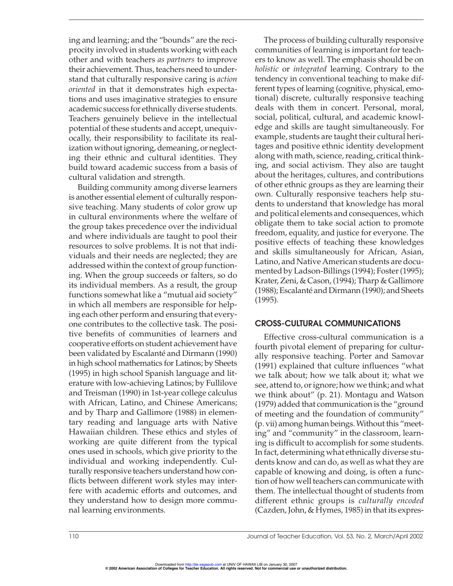ing and learning; and the "bounds" are the reciprocity involved in students working with each other and with teachers *as partners* to improve their achievement. Thus, teachers need to understand that culturally responsive caring is *action oriented* in that it demonstrates high expectations and uses imaginative strategies to ensure academic success for ethnically diverse students. Teachers genuinely believe in the intellectual potential of these students and accept, unequivocally, their responsibility to facilitate its realization without ignoring, demeaning, or neglecting their ethnic and cultural identities. They build toward academic success from a basis of cultural validation and strength.

Building community among diverse learners is another essential element of culturally responsive teaching. Many students of color grow up in cultural environments where the welfare of the group takes precedence over the individual and where individuals are taught to pool their resources to solve problems. It is not that individuals and their needs are neglected; they are addressed within the context of group functioning. When the group succeeds or falters, so do its individual members. As a result, the group functions somewhat like a "mutual aid society" in which all members are responsible for helping each other perform and ensuring that everyone contributes to the collective task. The positive benefits of communities of learners and cooperative efforts on student achievement have been validated by Escalanté and Dirmann (1990) in high school mathematics for Latinos; by Sheets (1995) in high school Spanish language and literature with low-achieving Latinos; by Fullilove and Treisman (1990) in 1st-year college calculus with African, Latino, and Chinese Americans; and by Tharp and Gallimore (1988) in elementary reading and language arts with Native Hawaiian children. These ethics and styles of working are quite different from the typical ones used in schools, which give priority to the individual and working independently. Culturally responsive teachers understand how conflicts between different work styles may interfere with academic efforts and outcomes, and they understand how to design more communal learning environments.

The process of building culturally responsive communities of learning is important for teachers to know as well. The emphasis should be on *holistic* or *integrated* learning. Contrary to the tendency in conventional teaching to make different types of learning (cognitive, physical, emotional) discrete, culturally responsive teaching deals with them in concert. Personal, moral, social, political, cultural, and academic knowledge and skills are taught simultaneously. For example, students are taught their cultural heritages and positive ethnic identity development along with math, science, reading, critical thinking, and social activism. They also are taught about the heritages, cultures, and contributions of other ethnic groups as they are learning their own. Culturally responsive teachers help students to understand that knowledge has moral and political elements and consequences, which obligate them to take social action to promote freedom, equality, and justice for everyone. The positive effects of teaching these knowledges and skills simultaneously for African, Asian, Latino, and Native American students are documented by Ladson-Billings (1994); Foster (1995); Krater, Zeni, & Cason, (1994); Tharp & Gallimore (1988); Escalanté and Dirmann (1990); and Sheets (1995).

#### CROSS-CULTURAL COMMUNICATIONS

Effective cross-cultural communication is a fourth pivotal element of preparing for culturally responsive teaching. Porter and Samovar (1991) explained that culture influences "what we talk about; how we talk about it; what we see, attend to, or ignore; how we think; and what we think about" (p. 21). Montagu and Watson (1979) added that communication is the "ground of meeting and the foundation of community" (p. vii) among human beings. Without this "meeting" and "community" in the classroom, learning is difficult to accomplish for some students. In fact, determining what ethnically diverse students know and can do, as well as what they are capable of knowing and doing, is often a function of how well teachers can communicate with them. The intellectual thought of students from different ethnic groups is *culturally encoded* (Cazden, John, & Hymes, 1985) in that its expres-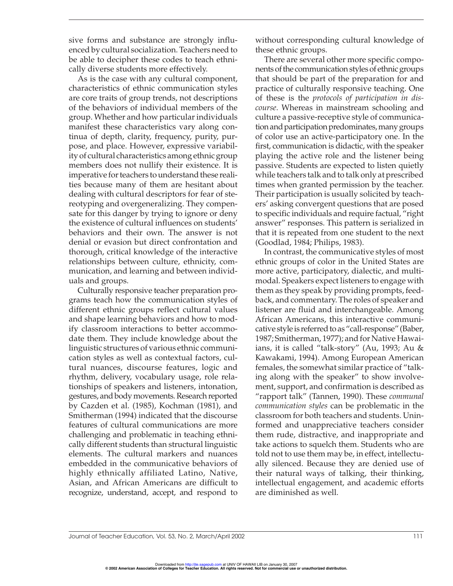sive forms and substance are strongly influenced by cultural socialization. Teachers need to be able to decipher these codes to teach ethnically diverse students more effectively.

As is the case with any cultural component, characteristics of ethnic communication styles are core traits of group trends, not descriptions of the behaviors of individual members of the group. Whether and how particular individuals manifest these characteristics vary along continua of depth, clarity, frequency, purity, purpose, and place. However, expressive variability of cultural characteristics among ethnic group members does not nullify their existence. It is imperative for teachers to understand these realities because many of them are hesitant about dealing with cultural descriptors for fear of stereotyping and overgeneralizing. They compensate for this danger by trying to ignore or deny the existence of cultural influences on students' behaviors and their own. The answer is not denial or evasion but direct confrontation and thorough, critical knowledge of the interactive relationships between culture, ethnicity, communication, and learning and between individuals and groups.

Culturally responsive teacher preparation programs teach how the communication styles of different ethnic groups reflect cultural values and shape learning behaviors and how to modify classroom interactions to better accommodate them. They include knowledge about the linguistic structures of various ethnic communication styles as well as contextual factors, cultural nuances, discourse features, logic and rhythm, delivery, vocabulary usage, role relationships of speakers and listeners, intonation, gestures, and body movements. Research reported by Cazden et al. (1985), Kochman (1981), and Smitherman (1994) indicated that the discourse features of cultural communications are more challenging and problematic in teaching ethnically different students than structural linguistic elements. The cultural markers and nuances embedded in the communicative behaviors of highly ethnically affiliated Latino, Native, Asian, and African Americans are difficult to recognize, understand, accept, and respond to without corresponding cultural knowledge of these ethnic groups.

There are several other more specific components of the communication styles of ethnic groups that should be part of the preparation for and practice of culturally responsive teaching. One of these is the *protocols of participation in discourse*. Whereas in mainstream schooling and culture a passive-receptive style of communication and participation predominates, many groups of color use an active-participatory one. In the first, communication is didactic, with the speaker playing the active role and the listener being passive. Students are expected to listen quietly while teachers talk and to talk only at prescribed times when granted permission by the teacher. Their participation is usually solicited by teachers' asking convergent questions that are posed to specific individuals and require factual, "right answer" responses. This pattern is serialized in that it is repeated from one student to the next (Goodlad, 1984; Philips, 1983).

In contrast, the communicative styles of most ethnic groups of color in the United States are more active, participatory, dialectic, and multimodal. Speakers expect listeners to engage with them as they speak by providing prompts, feedback, and commentary. The roles of speaker and listener are fluid and interchangeable. Among African Americans, this interactive communicative style is referred to as "call-response" (Baber, 1987; Smitherman, 1977); and for Native Hawaiians, it is called "talk-story" (Au, 1993; Au & Kawakami, 1994). Among European American females, the somewhat similar practice of "talking along with the speaker" to show involvement, support, and confirmation is described as "rapport talk" (Tannen, 1990). These *communal communication styles* can be problematic in the classroom for both teachers and students. Uninformed and unappreciative teachers consider them rude, distractive, and inappropriate and take actions to squelch them. Students who are told not to use them may be, in effect, intellectually silenced. Because they are denied use of their natural ways of talking, their thinking, intellectual engagement, and academic efforts are diminished as well.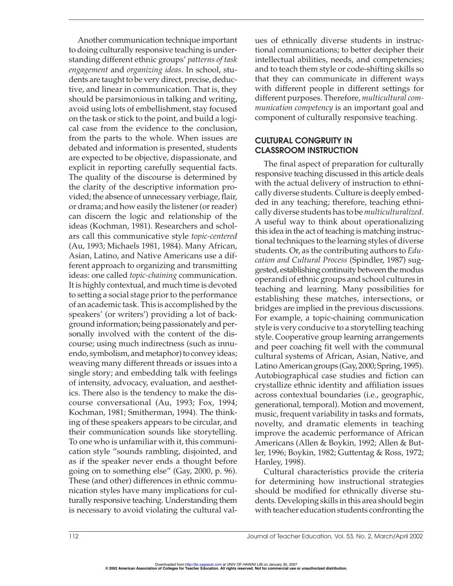Another communication technique important to doing culturally responsive teaching is understanding different ethnic groups' *patterns of task engagement* and *organizing ideas*. In school, students are taught to be very direct, precise, deductive, and linear in communication. That is, they should be parsimonious in talking and writing, avoid using lots of embellishment, stay focused on the task or stick to the point, and build a logical case from the evidence to the conclusion, from the parts to the whole. When issues are debated and information is presented, students are expected to be objective, dispassionate, and explicit in reporting carefully sequential facts. The quality of the discourse is determined by the clarity of the descriptive information provided; the absence of unnecessary verbiage, flair, or drama; and how easily the listener (or reader) can discern the logic and relationship of the ideas (Kochman, 1981). Researchers and scholars call this communicative style *topic-centered* (Au, 1993; Michaels 1981, 1984). Many African, Asian, Latino, and Native Americans use a different approach to organizing and transmitting ideas: one called *topic-chaining* communication. It is highly contextual, and much time is devoted to setting a social stage prior to the performance of an academic task. This is accomplished by the speakers' (or writers') providing a lot of background information; being passionately and personally involved with the content of the discourse; using much indirectness (such as innuendo, symbolism, and metaphor) to convey ideas; weaving many different threads or issues into a single story; and embedding talk with feelings of intensity, advocacy, evaluation, and aesthetics. There also is the tendency to make the discourse conversational (Au, 1993; Fox, 1994; Kochman, 1981; Smitherman, 1994). The thinking of these speakers appears to be circular, and their communication sounds like storytelling. To one who is unfamiliar with it, this communication style "sounds rambling, disjointed, and as if the speaker never ends a thought before going on to something else" (Gay, 2000, p. 96). These (and other) differences in ethnic communication styles have many implications for culturally responsive teaching. Understanding them is necessary to avoid violating the cultural val-

ues of ethnically diverse students in instructional communications; to better decipher their intellectual abilities, needs, and competencies; and to teach them style or code-shifting skills so that they can communicate in different ways with different people in different settings for different purposes. Therefore, *multicultural communication competency* is an important goal and component of culturally responsive teaching.

#### CULTURAL CONGRUITY IN CLASSROOM INSTRUCTION

The final aspect of preparation for culturally responsive teaching discussed in this article deals with the actual delivery of instruction to ethnically diverse students. Culture is deeply embedded in any teaching; therefore, teaching ethnically diverse students has to be*multiculturalized*. A useful way to think about operationalizing this idea in the act of teaching is matching instructional techniques to the learning styles of diverse students. Or, as the contributing authors to *Education and Cultural Process* (Spindler, 1987) suggested, establishing continuity between the modus operandi of ethnic groups and school cultures in teaching and learning. Many possibilities for establishing these matches, intersections, or bridges are implied in the previous discussions. For example, a topic-chaining communication style is very conducive to a storytelling teaching style. Cooperative group learning arrangements and peer coaching fit well with the communal cultural systems of African, Asian, Native, and Latino American groups (Gay, 2000; Spring, 1995). Autobiographical case studies and fiction can crystallize ethnic identity and affiliation issues across contextual boundaries (i.e., geographic, generational, temporal). Motion and movement, music, frequent variability in tasks and formats, novelty, and dramatic elements in teaching improve the academic performance of African Americans (Allen & Boykin, 1992; Allen & Butler, 1996; Boykin, 1982; Guttentag & Ross, 1972; Hanley, 1998).

Cultural characteristics provide the criteria for determining how instructional strategies should be modified for ethnically diverse students. Developing skills in this area should begin with teacher education students confronting the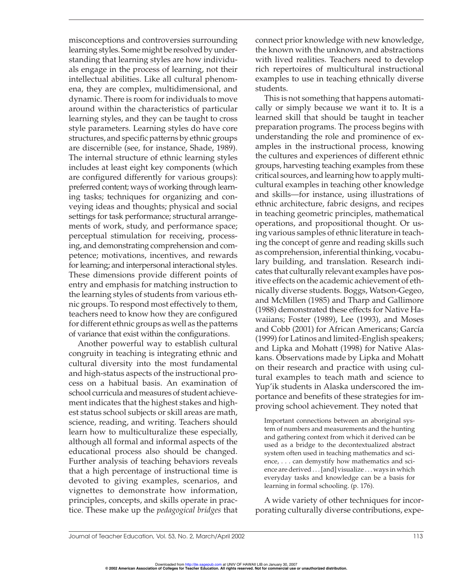misconceptions and controversies surrounding learning styles. Some might be resolved by understanding that learning styles are how individuals engage in the process of learning, not their intellectual abilities. Like all cultural phenomena, they are complex, multidimensional, and dynamic. There is room for individuals to move around within the characteristics of particular learning styles, and they can be taught to cross style parameters. Learning styles do have core structures, and specific patterns by ethnic groups are discernible (see, for instance, Shade, 1989). The internal structure of ethnic learning styles includes at least eight key components (which are configured differently for various groups): preferred content; ways of working through learning tasks; techniques for organizing and conveying ideas and thoughts; physical and social settings for task performance; structural arrangements of work, study, and performance space; perceptual stimulation for receiving, processing, and demonstrating comprehension and competence; motivations, incentives, and rewards for learning; and interpersonal interactional styles. These dimensions provide different points of entry and emphasis for matching instruction to the learning styles of students from various ethnic groups. To respond most effectively to them, teachers need to know how they are configured for different ethnic groups as well as the patterns of variance that exist within the configurations.

Another powerful way to establish cultural congruity in teaching is integrating ethnic and cultural diversity into the most fundamental and high-status aspects of the instructional process on a habitual basis. An examination of school curricula and measures of student achievement indicates that the highest stakes and highest status school subjects or skill areas are math, science, reading, and writing. Teachers should learn how to multiculturalize these especially, although all formal and informal aspects of the educational process also should be changed. Further analysis of teaching behaviors reveals that a high percentage of instructional time is devoted to giving examples, scenarios, and vignettes to demonstrate how information, principles, concepts, and skills operate in practice. These make up the *pedagogical bridges* that

connect prior knowledge with new knowledge, the known with the unknown, and abstractions with lived realities. Teachers need to develop rich repertoires of multicultural instructional examples to use in teaching ethnically diverse students.

This is not something that happens automatically or simply because we want it to. It is a learned skill that should be taught in teacher preparation programs. The process begins with understanding the role and prominence of examples in the instructional process, knowing the cultures and experiences of different ethnic groups, harvesting teaching examples from these critical sources, and learning how to apply multicultural examples in teaching other knowledge and skills—for instance, using illustrations of ethnic architecture, fabric designs, and recipes in teaching geometric principles, mathematical operations, and propositional thought. Or using various samples of ethnic literature in teaching the concept of genre and reading skills such as comprehension, inferential thinking, vocabulary building, and translation. Research indicates that culturally relevant examples have positive effects on the academic achievement of ethnically diverse students. Boggs, Watson-Gegeo, and McMillen (1985) and Tharp and Gallimore (1988) demonstrated these effects for Native Hawaiians; Foster (1989), Lee (1993), and Moses and Cobb (2001) for African Americans; García (1999) for Latinos and limited-English speakers; and Lipka and Mohatt (1998) for Native Alaskans. Observations made by Lipka and Mohatt on their research and practice with using cultural examples to teach math and science to Yup'ik students in Alaska underscored the importance and benefits of these strategies for improving school achievement. They noted that

Important connections between an aboriginal system of numbers and measurements and the hunting and gathering context from which it derived can be used as a bridge to the decontextualized abstract system often used in teaching mathematics and science, . . . can demystify how mathematics and science are derived...[and] visualize . . . ways in which everyday tasks and knowledge can be a basis for learning in formal schooling. (p. 176).

A wide variety of other techniques for incorporating culturally diverse contributions, expe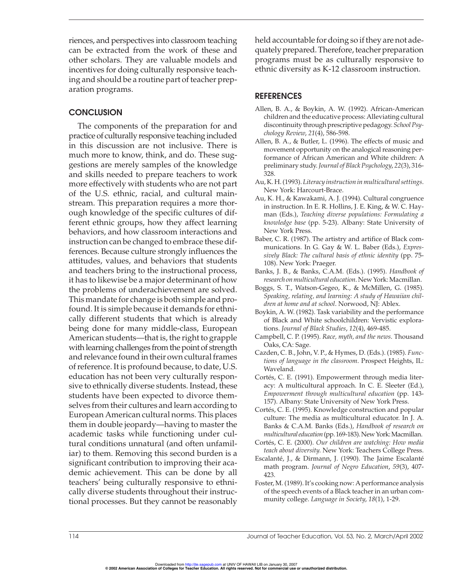riences, and perspectives into classroom teaching can be extracted from the work of these and other scholars. They are valuable models and incentives for doing culturally responsive teaching and should be a routine part of teacher preparation programs.

#### **CONCLUSION**

The components of the preparation for and practice of culturally responsive teaching included in this discussion are not inclusive. There is much more to know, think, and do. These suggestions are merely samples of the knowledge and skills needed to prepare teachers to work more effectively with students who are not part of the U.S. ethnic, racial, and cultural mainstream. This preparation requires a more thorough knowledge of the specific cultures of different ethnic groups, how they affect learning behaviors, and how classroom interactions and instruction can be changed to embrace these differences. Because culture strongly influences the attitudes, values, and behaviors that students and teachers bring to the instructional process, it has to likewise be a major determinant of how the problems of underachievement are solved. This mandate for change is both simple and profound. It is simple because it demands for ethnically different students that which is already being done for many middle-class, European American students—that is, the right to grapple with learning challenges from the point of strength and relevance found in their own cultural frames of reference. It is profound because, to date, U.S. education has not been very culturally responsive to ethnically diverse students. Instead, these students have been expected to divorce themselves from their cultures and learn according to European American cultural norms. This places them in double jeopardy—having to master the academic tasks while functioning under cultural conditions unnatural (and often unfamiliar) to them. Removing this second burden is a significant contribution to improving their academic achievement. This can be done by all teachers' being culturally responsive to ethnically diverse students throughout their instructional processes. But they cannot be reasonably

held accountable for doing so if they are not adequately prepared. Therefore, teacher preparation programs must be as culturally responsive to ethnic diversity as K-12 classroom instruction.

#### **REFERENCES**

- Allen, B. A., & Boykin, A. W. (1992). African-American children and the educative process: Alleviating cultural discontinuity through prescriptive pedagogy. *School Psychology Review*, *21*(4), 586-598.
- Allen, B. A., & Butler, L. (1996). The effects of music and movement opportunity on the analogical reasoning performance of African American and White children: A preliminary study. *Journal of Black Psychology*, *22*(3), 316- 328.
- Au, K. H. (1993). *Literacy instruction in multicultural settings*. New York: Harcourt-Brace.
- Au, K. H., & Kawakami, A. J. (1994). Cultural congruence in instruction. In E. R. Hollins, J. E. King, & W. C. Hayman (Eds.), *Teaching diverse populations: Formulating a knowledge base* (pp. 5-23). Albany: State University of New York Press.
- Baber, C. R. (1987). The artistry and artifice of Black communications. In G. Gay & W. L. Baber (Eds.), *Expressively Black: The cultural basis of ethnic identity* (pp. 75- 108). New York: Praeger.
- Banks, J. B., & Banks, C.A.M. (Eds.). (1995). *Handbook of research on multicultural education*. New York: Macmillan.
- Boggs, S. T., Watson-Gegeo, K., & McMillen, G. (1985). *Speaking, relating, and learning: A study of Hawaiian children at home and at school*. Norwood, NJ: Ablex.
- Boykin, A. W. (1982). Task variability and the performance of Black and White schoolchildren: Vervistic explorations. *Journal of Black Studies*, *12*(4), 469-485.
- Campbell, C. P. (1995). *Race, myth, and the news*. Thousand Oaks, CA: Sage.
- Cazden, C. B., John, V. P., & Hymes, D. (Eds.). (1985). *Functions of language in the classroom*. Prospect Heights, IL: Waveland.
- Cortés, C. E. (1991). Empowerment through media literacy: A multicultural approach. In C. E. Sleeter (Ed.), *Empowerment through multicultural education* (pp. 143- 157). Albany: State University of New York Press.
- Cortés, C. E. (1995). Knowledge construction and popular culture: The media as multicultural educator. In J. A. Banks & C.A.M. Banks (Eds.), *Handbook of research on multiculturaleducation*(pp.169-183).NewYork:Macmillan.
- Cortés, C. E. (2000). *Our children are watching: How media teach about diversity*. New York: Teachers College Press.
- Escalanté, J., & Dirmann, J. (1990). The Jaime Escalanté math program. *Journal of Negro Education*, *59*(3), 407- 423.
- Foster, M. (1989). It's cooking now: Aperformance analysis of the speech events of a Black teacher in an urban community college. *Language in Society*, *18*(1), 1-29.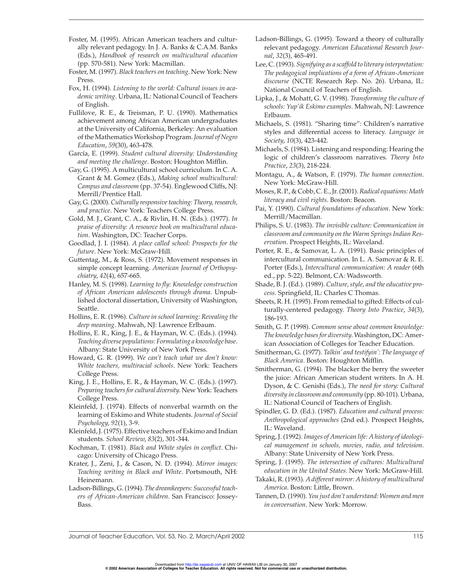- Foster, M. (1995). African American teachers and culturally relevant pedagogy. In J. A. Banks & C.A.M. Banks (Eds.), *Handbook of research on multicultural education* (pp. 570-581). New York: Macmillan.
- Foster, M. (1997). *Black teachers on teaching*. New York: New Press.
- Fox, H. (1994). *Listening to the world: Cultural issues in academic writing*. Urbana, IL: National Council of Teachers of English.
- Fullilove, R. E., & Treisman, P. U. (1990). Mathematics achievement among African American undergraduates at the University of California, Berkeley: An evaluation of the Mathematics Workshop Program. *Journal of Negro Education*, *59*(30), 463-478.
- García, E. (1999). *Student cultural diversity: Understanding and meeting the challenge*. Boston: Houghton Mifflin.
- Gay, G. (1995). A multicultural school curriculum. In C. A. Grant & M. Gomez (Eds.), *Making school multicultural: Campus and classroom* (pp. 37-54). Englewood Cliffs, NJ: Merrill/Prentice Hall.
- Gay, G. (2000). *Culturally responsive teaching: Theory, research, and practice*. New York: Teachers College Press.
- Gold, M. J., Grant, C. A., & Rivlin, H. N. (Eds.). (1977). *In praise of diversity: A resource book on multicultural education*. Washington, DC: Teacher Corps.
- Goodlad, J. I. (1984). *A place called school: Prospects for the future*. New York: McGraw-Hill.
- Guttentag, M., & Ross, S. (1972). Movement responses in simple concept learning. *American Journal of Orthopsychiatry*, *42*(4), 657-665.
- Hanley, M. S. (1998). *Learning to fly: Knowledge construction of African American adolescents through drama*. Unpublished doctoral dissertation, University of Washington, Seattle.
- Hollins, E. R. (1996). *Culture in school learning: Revealing the deep meaning*. Mahwah, NJ: Lawrence Erlbaum.
- Hollins, E. R., King, J. E., & Hayman, W. C. (Eds.). (1994). *Teaching diverse populations: Formulating a knowledge base*. Albany: State University of New York Press.
- Howard, G. R. (1999). *We can't teach what we don't know: White teachers, multiracial schools*. New York: Teachers College Press.
- King, J. E., Hollins, E. R., & Hayman, W. C. (Eds.). (1997). *Preparing teachers for cultural diversity*. New York: Teachers College Press.
- Kleinfeld, J. (1974). Effects of nonverbal warmth on the learning of Eskimo and White students. *Journal of Social Psychology*, *92*(1), 3-9.
- Kleinfeld, J. (1975). Effective teachers of Eskimo and Indian students. *School Review*, *83*(2), 301-344.
- Kochman, T. (1981). *Black and White styles in conflict*. Chicago: University of Chicago Press.
- Krater, J., Zeni, J., & Cason, N. D. (1994). *Mirror images: Teaching writing in Black and White*. Portsmouth, NH: Heinemann.
- Ladson-Billings, G. (1994). *The dreamkeepers: Successful teachers of African-American children*. San Francisco: Jossey-Bass.
- Ladson-Billings, G. (1995). Toward a theory of culturally relevant pedagogy. *American Educational Research Journal*, *32*(3), 465-491.
- Lee, C. (1993). *Signifying as a scaffold to literary interpretation: The pedagogical implications of a form of African-American discourse* (NCTE Research Rep. No. 26). Urbana, IL: National Council of Teachers of English.
- Lipka, J., & Mohatt, G. V. (1998). *Transforming the culture of schools: Yup'ik Eskimo examples*. Mahwah, NJ: Lawrence Erlbaum.
- Michaels, S. (1981). "Sharing time": Children's narrative styles and differential access to literacy. *Language in Society*, *10*(3), 423-442.
- Michaels, S. (1984). Listening and responding: Hearing the logic of children's classroom narratives. *Theory Into Practice*, *23*(3), 218-224.
- Montagu, A., & Watson, F. (1979). *The human connection*. New York: McGraw-Hill.
- Moses, R. P., & Cobb, C. E., Jr. (2001).*Radical equations: Math literacy and civil rights*. Boston: Beacon.
- Pai, Y. (1990). *Cultural foundations of education*. New York: Merrill/Macmillan.
- Philips, S. U. (1983). *The invisible culture: Communication in classroom and community on the Warm Springs Indian Reservation*. Prospect Heights, IL: Waveland.
- Porter, R. E., & Samovar, L. A. (1991). Basic principles of intercultural communication. In L. A. Samovar & R. E. Porter (Eds.), *Intercultural communication: A reader* (6th ed., pp. 5-22). Belmont, CA: Wadsworth.
- Shade, B. J. (Ed.). (1989). *Culture, style, and the educative process*. Springfield, IL: Charles C Thomas.
- Sheets, R. H. (1995). From remedial to gifted: Effects of culturally-centered pedagogy. *Theory Into Practice*, *34*(3), 186-193.
- Smith, G. P. (1998). *Common sense about common knowledge: The knowledge bases for diversity*. Washington, DC: American Association of Colleges for Teacher Education.
- Smitherman, G. (1977). *Talkin' and testifyin': The language of Black America*. Boston: Houghton Mifflin.
- Smitherman, G. (1994). The blacker the berry the sweeter the juice: African American student writers. In A. H. Dyson, & C. Genishi (Eds.), *The need for story: Cultural diversity in classroom and community* (pp. 80-101). Urbana, IL: National Council of Teachers of English.
- Spindler, G. D. (Ed.). (1987). *Education and cultural process: Anthropological approaches* (2nd ed.). Prospect Heights, IL: Waveland.
- Spring, J. (1992). *Images of American life: A history of ideological management in schools, movies, radio, and television*. Albany: State University of New York Press.
- Spring, J. (1995). *The intersection of cultures: Multicultural education in the United States*. New York: McGraw-Hill.
- Takaki, R. (1993). *A different mirror: A history of multicultural America*. Boston: Little, Brown.
- Tannen, D. (1990). *You just don't understand: Women and men in conversation*. New York: Morrow.

Journal of Teacher Education, Vol. 53, No. 2, March/April 2002 115